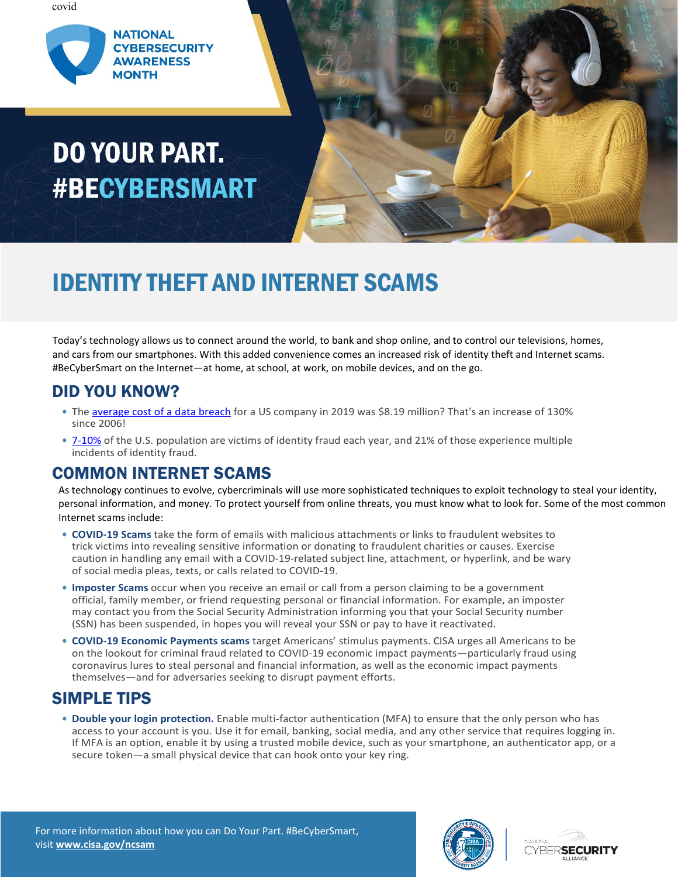covid



# DO YOUR PART. **#BECYBERSMART**



## IDENTITY THEFT AND INTERNET SCAMS

Today's technology allows us to connect around the world, to bank and shop online, and to control our televisions, homes, and cars from our smartphones. With this added convenience comes an increased risk of identity theft and Internet scams. #BeCyberSmart on the Internet—at home, at school, at work, on mobile devices, and on the go.

### DID YOU KNOW?

- **•** The [average cost of a data breach](https://digitalguardian.com/blog/whats-cost-data-breach-2019) for a US company in 2019 was \$8.19 million? That's an increase of 130% since 2006!
- **•** [7-10%](https://ncvc.dspacedirect.org/bitstream/item/1228/CVR%20Research%20Syntheses_Identity%20Theft%20and%20Fraud_Brief.pdf) of the U.S. population are victims of identity fraud each year, and 21% of those experience multiple incidents of identity fraud.

### COMMON INTERNET SCAMS

As technology continues to evolve, cybercriminals will use more sophisticated techniques to exploit technology to steal your identity, personal information, and money. To protect yourself from online threats, you must know what to look for. Some of the most common Internet scams include:

- **• COVID-19 Scams** take the form of emails with malicious attachments or links to fraudulent websites to trick victims into revealing sensitive information or donating to fraudulent charities or causes. Exercise caution in handling any email with a COVID-19-related subject line, attachment, or hyperlink, and be wary of social media pleas, texts, or calls related to COVID-19.
- **• Imposter Scams** occur when you receive an email or call from a person claiming to be a government official, family member, or friend requesting personal or financial information. For example, an imposter may contact you from the Social Security Administration informing you that your Social Security number (SSN) has been suspended, in hopes you will reveal your SSN or pay to have it reactivated.
- **• COVID-19 Economic Payments scams** target Americans' stimulus payments. CISA urges all Americans to be on the lookout for criminal fraud related to COVID-19 economic impact payments—particularly fraud using coronavirus lures to steal personal and financial information, as well as the economic impact payments themselves—and for adversaries seeking to disrupt payment efforts.

### SIMPLE TIPS

**• Double your login protection.** Enable multi-factor authentication (MFA) to ensure that the only person who has access to your account is you. Use it for email, banking, social media, and any other service that requires logging in. If MFA is an option, enable it by using a trusted mobile device, such as your smartphone, an authenticator app, or a secure token—a small physical device that can hook onto your key ring.